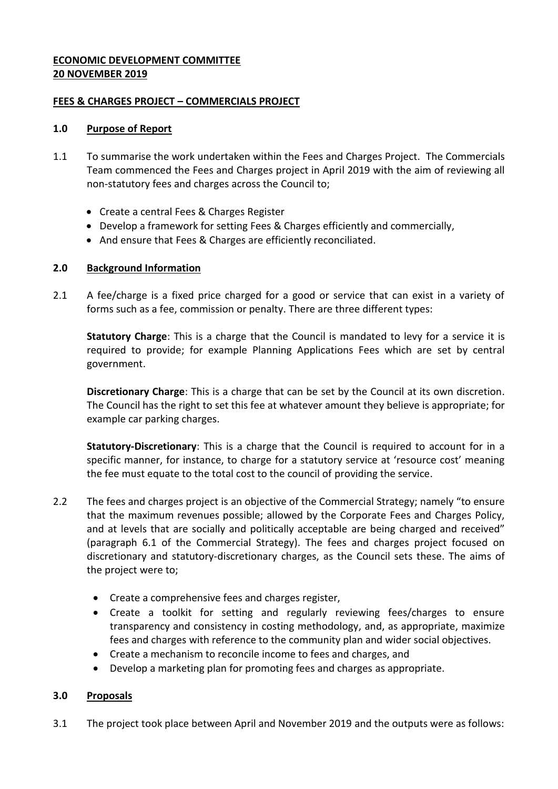## **ECONOMIC DEVELOPMENT COMMITTEE 20 NOVEMBER 2019**

## **FEES & CHARGES PROJECT – COMMERCIALS PROJECT**

### **1.0 Purpose of Report**

- 1.1 To summarise the work undertaken within the Fees and Charges Project. The Commercials Team commenced the Fees and Charges project in April 2019 with the aim of reviewing all non-statutory fees and charges across the Council to;
	- Create a central Fees & Charges Register
	- Develop a framework for setting Fees & Charges efficiently and commercially,
	- And ensure that Fees & Charges are efficiently reconciliated.

## **2.0 Background Information**

2.1 A fee/charge is a fixed price charged for a good or service that can exist in a variety of forms such as a fee, commission or penalty. There are three different types:

**Statutory Charge**: This is a charge that the Council is mandated to levy for a service it is required to provide; for example Planning Applications Fees which are set by central government.

**Discretionary Charge**: This is a charge that can be set by the Council at its own discretion. The Council has the right to set this fee at whatever amount they believe is appropriate; for example car parking charges.

**Statutory-Discretionary**: This is a charge that the Council is required to account for in a specific manner, for instance, to charge for a statutory service at 'resource cost' meaning the fee must equate to the total cost to the council of providing the service.

- 2.2 The fees and charges project is an objective of the Commercial Strategy; namely "to ensure that the maximum revenues possible; allowed by the Corporate Fees and Charges Policy, and at levels that are socially and politically acceptable are being charged and received" (paragraph 6.1 of the Commercial Strategy). The fees and charges project focused on discretionary and statutory-discretionary charges, as the Council sets these. The aims of the project were to;
	- Create a comprehensive fees and charges register,
	- Create a toolkit for setting and regularly reviewing fees/charges to ensure transparency and consistency in costing methodology, and, as appropriate, maximize fees and charges with reference to the community plan and wider social objectives.
	- Create a mechanism to reconcile income to fees and charges, and
	- Develop a marketing plan for promoting fees and charges as appropriate.

# **3.0 Proposals**

3.1 The project took place between April and November 2019 and the outputs were as follows: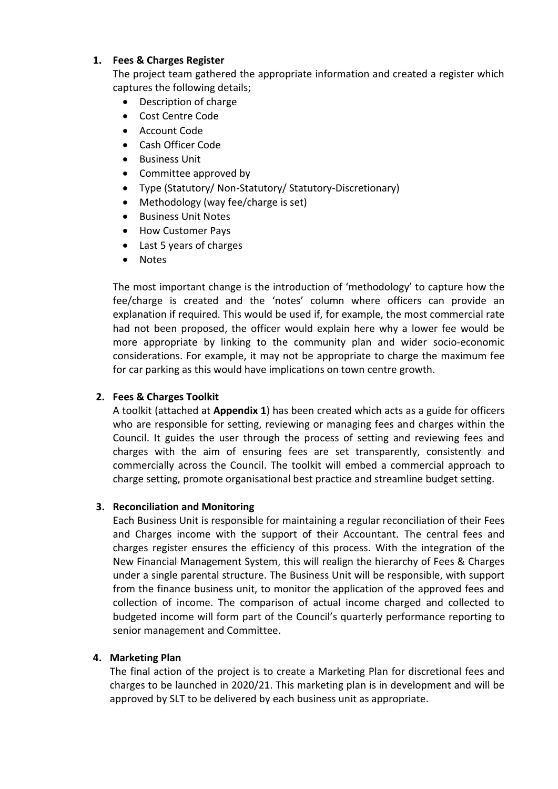## **1. Fees & Charges Register**

The project team gathered the appropriate information and created a register which captures the following details;

- Description of charge
- Cost Centre Code
- Account Code
- Cash Officer Code
- **•** Business Unit
- Committee approved by
- Type (Statutory/ Non-Statutory/ Statutory-Discretionary)
- Methodology (way fee/charge is set)
- Business Unit Notes
- How Customer Pays
- Last 5 years of charges
- Notes

The most important change is the introduction of 'methodology' to capture how the fee/charge is created and the 'notes' column where officers can provide an explanation if required. This would be used if, for example, the most commercial rate had not been proposed, the officer would explain here why a lower fee would be more appropriate by linking to the community plan and wider socio-economic considerations. For example, it may not be appropriate to charge the maximum fee for car parking as this would have implications on town centre growth.

# **2. Fees & Charges Toolkit**

A toolkit (attached at **Appendix 1**) has been created which acts as a guide for officers who are responsible for setting, reviewing or managing fees and charges within the Council. It guides the user through the process of setting and reviewing fees and charges with the aim of ensuring fees are set transparently, consistently and commercially across the Council. The toolkit will embed a commercial approach to charge setting, promote organisational best practice and streamline budget setting.

### **3. Reconciliation and Monitoring**

Each Business Unit is responsible for maintaining a regular reconciliation of their Fees and Charges income with the support of their Accountant. The central fees and charges register ensures the efficiency of this process. With the integration of the New Financial Management System, this will realign the hierarchy of Fees & Charges under a single parental structure. The Business Unit will be responsible, with support from the finance business unit, to monitor the application of the approved fees and collection of income. The comparison of actual income charged and collected to budgeted income will form part of the Council's quarterly performance reporting to senior management and Committee.

### **4. Marketing Plan**

The final action of the project is to create a Marketing Plan for discretional fees and charges to be launched in 2020/21. This marketing plan is in development and will be approved by SLT to be delivered by each business unit as appropriate.